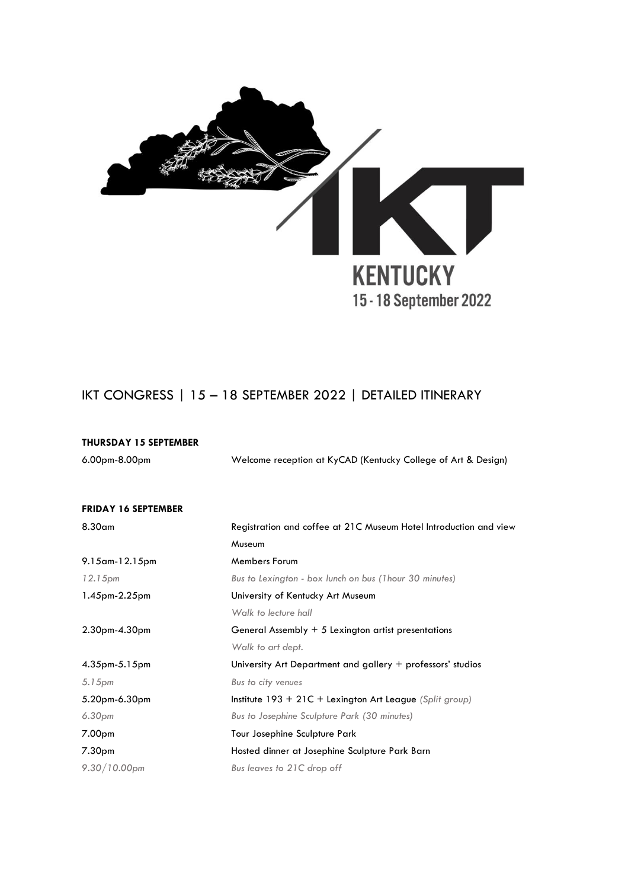

## IKT CONGRESS | 15 – 18 SEPTEMBER 2022 | DETAILED ITINERARY

| <b>THURSDAY 15 SEPTEMBER</b> |                                                                   |
|------------------------------|-------------------------------------------------------------------|
| 6.00pm-8.00pm                | Welcome reception at KyCAD (Kentucky College of Art & Design)     |
|                              |                                                                   |
| <b>FRIDAY 16 SEPTEMBER</b>   |                                                                   |
| 8.30 <sub>cm</sub>           | Registration and coffee at 21C Museum Hotel Introduction and view |
|                              | Museum                                                            |
| 9.15 am-12.15 pm             | <b>Members Forum</b>                                              |
| 12.15 <sub>pm</sub>          | Bus to Lexington - box lunch on bus (Thour 30 minutes)            |
| 1.45pm-2.25pm                | University of Kentucky Art Museum                                 |
|                              | Walk to lecture hall                                              |
| $2.30pm-4.30pm$              | General Assembly + 5 Lexington artist presentations               |
|                              | Walk to art dept.                                                 |
| $4.35$ pm $-5.15$ pm         | University Art Department and gallery + professors' studios       |
| 5.15 <sub>pm</sub>           | Bus to city venues                                                |
| 5.20pm-6.30pm                | Institute $193 + 21C +$ Lexington Art League (Split group)        |
| 6.30 <sub>pm</sub>           | Bus to Josephine Sculpture Park (30 minutes)                      |
| 7.00 <sub>pm</sub>           | Tour Josephine Sculpture Park                                     |
| 7.30 <sub>pm</sub>           | Hosted dinner at Josephine Sculpture Park Barn                    |
| $9.30/10.00$ pm              | Bus leaves to 21C drop off                                        |